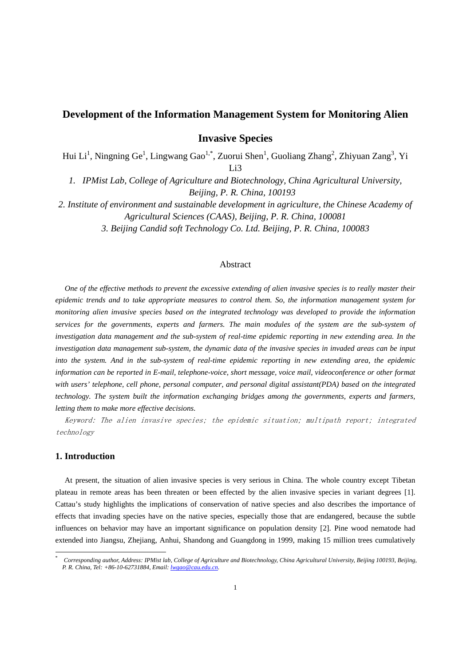# **Development of the Information Management System for Monitoring Alien**

**Invasive Species** 

Hui Li<sup>1</sup>, Ningning Ge<sup>1</sup>, Lingwang Gao<sup>1,\*</sup>, Zuorui Shen<sup>1</sup>, Guoliang Zhang<sup>2</sup>, Zhiyuan Zang<sup>3</sup>, Yi Li3

*1. IPMist Lab, College of Agriculture and Biotechnology, China Agricultural University, Beijing, P. R. China, 100193* 

*2. Institute of environment and sustainable development in agriculture, the Chinese Academy of Agricultural Sciences (CAAS), Beijing, P. R. China, 100081* 

*3. Beijing Candid soft Technology Co. Ltd. Beijing, P. R. China, 100083* 

## Abstract

*One of the effective methods to prevent the excessive extending of alien invasive species is to really master their epidemic trends and to take appropriate measures to control them. So, the information management system for monitoring alien invasive species based on the integrated technology was developed to provide the information services for the governments, experts and farmers. The main modules of the system are the sub-system of investigation data management and the sub-system of real-time epidemic reporting in new extending area. In the investigation data management sub-system, the dynamic data of the invasive species in invaded areas can be input into the system. And in the sub-system of real-time epidemic reporting in new extending area, the epidemic information can be reported in E-mail, telephone-voice, short message, voice mail, videoconference or other format with users' telephone, cell phone, personal computer, and personal digital assistant(PDA) based on the integrated technology. The system built the information exchanging bridges among the governments, experts and farmers, letting them to make more effective decisions.* 

Keyword: The alien invasive species; the epidemic situation; multipath report; integrated technology

### **1. Introduction**

-

At present, the situation of alien invasive species is very serious in China. The whole country except Tibetan plateau in remote areas has been threaten or been effected by the alien invasive species in variant degrees [1]. Cattau's study highlights the implications of conservation of native species and also describes the importance of effects that invading species have on the native species, especially those that are endangered, because the subtle influences on behavior may have an important significance on population density [2]. Pine wood nematode had extended into Jiangsu, Zhejiang, Anhui, Shandong and Guangdong in 1999, making 15 million trees cumulatively

<sup>\*</sup> *Corresponding author, Address: IPMist lab, College of Agriculture and Biotechnology, China Agricultural University, Beijing 100193, Beijing, P. R. China, Tel: +86-10-62731884, Email: lwgao@cau.edu.cn*.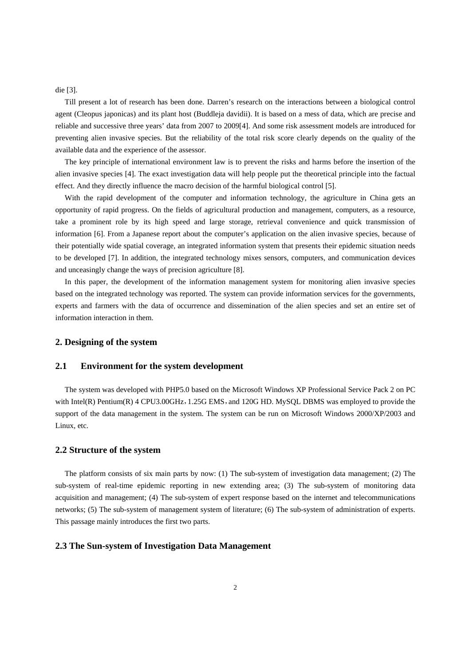die [3].

Till present a lot of research has been done. Darren's research on the interactions between a biological control agent (Cleopus japonicas) and its plant host (Buddleja davidii). It is based on a mess of data, which are precise and reliable and successive three years' data from 2007 to 2009[4]. And some risk assessment models are introduced for preventing alien invasive species. But the reliability of the total risk score clearly depends on the quality of the available data and the experience of the assessor.

The key principle of international environment law is to prevent the risks and harms before the insertion of the alien invasive species [4]. The exact investigation data will help people put the theoretical principle into the factual effect. And they directly influence the macro decision of the harmful biological control [5].

With the rapid development of the computer and information technology, the agriculture in China gets an opportunity of rapid progress. On the fields of agricultural production and management, computers, as a resource, take a prominent role by its high speed and large storage, retrieval convenience and quick transmission of information [6]. From a Japanese report about the computer's application on the alien invasive species, because of their potentially wide spatial coverage, an integrated information system that presents their epidemic situation needs to be developed [7]. In addition, the integrated technology mixes sensors, computers, and communication devices and unceasingly change the ways of precision agriculture [8].

In this paper, the development of the information management system for monitoring alien invasive species based on the integrated technology was reported. The system can provide information services for the governments, experts and farmers with the data of occurrence and dissemination of the alien species and set an entire set of information interaction in them.

### **2. Designing of the system**

#### **2.1 Environment for the system development**

The system was developed with PHP5.0 based on the Microsoft Windows XP Professional Service Pack 2 on PC with Intel(R) Pentium(R) 4 CPU3.00GHz, 1.25G EMS, and 120G HD. MySQL DBMS was employed to provide the support of the data management in the system. The system can be run on Microsoft Windows 2000/XP/2003 and Linux, etc.

#### **2.2 Structure of the system**

The platform consists of six main parts by now: (1) The sub-system of investigation data management; (2) The sub-system of real-time epidemic reporting in new extending area; (3) The sub-system of monitoring data acquisition and management; (4) The sub-system of expert response based on the internet and telecommunications networks; (5) The sub-system of management system of literature; (6) The sub-system of administration of experts. This passage mainly introduces the first two parts.

#### **2.3 The Sun-system of Investigation Data Management**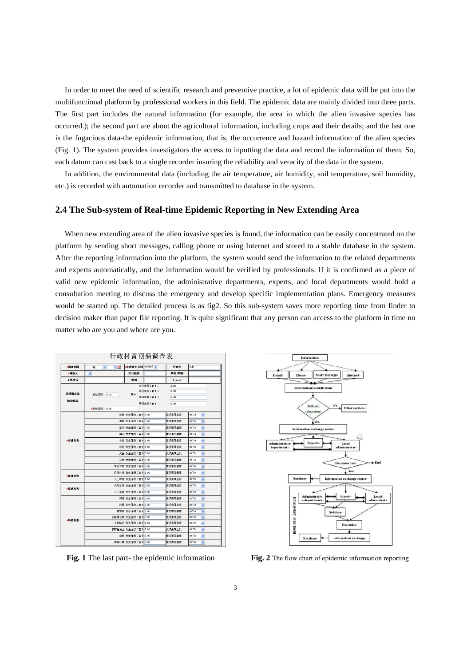In order to meet the need of scientific research and preventive practice, a lot of epidemic data will be put into the multifunctional platform by professional workers in this field. The epidemic data are mainly divided into three parts. The first part includes the natural information (for example, the area in which the alien invasive species has occurred.); the second part are about the agricultural information, including crops and their details; and the last one is the fugacious data-the epidemic information, that is, the occurrence and hazard information of the alien species (Fig. 1). The system provides investigators the access to inputting the data and record the information of them. So, each datum can cast back to a single recorder insuring the reliability and veracity of the data in the system.

In addition, the environmental data (including the air temperature, air humidity, soil temperature, soil humidity, etc.) is recorded with automation recorder and transmitted to database in the system.

#### **2.4 The Sub-system of Real-time Epidemic Reporting in New Extending Area**

When new extending area of the alien invasive species is found, the information can be easily concentrated on the platform by sending short messages, calling phone or using Internet and stored to a stable database in the system. After the reporting information into the platform, the system would send the information to the related departments and experts automatically, and the information would be verified by professionals. If it is confirmed as a piece of valid new epidemic information, the administrative departments, experts, and local departments would hold a consultation meeting to discuss the emergency and develop specific implementation plans. Emergency measures would be started up. The detailed process is as fig2. So this sub-system saves more reporting time from finder to decision maker than paper file reporting. It is quite significant that any person can access to the platform in time no matter who are you and where are you.

| ●調査时间  | ↓选<br>$\checkmark$<br>年 | 黄顶菊生育期 出苗期 v       |          | 行政村    | 东村                                   |
|--------|-------------------------|--------------------|----------|--------|--------------------------------------|
| ■調査人   | $\checkmark$            | 文化程度               |          | 职务/职称  |                                      |
| 工作单位   |                         | 电话                 |          | E sail |                                      |
|        | 发生面积: 0.00              | 其中:                | 农业危害(亩): | 0.00   |                                      |
| 黄頂菊发生  |                         |                    | 林业危害〔亩〕: | 0.00   |                                      |
| 防治情况   |                         | 草地危害(盲):           |          | 0.00   |                                      |
|        |                         |                    | 环滴危害(亩): | 0.00   |                                      |
|        | ·防治面积: 0.00             |                    |          |        |                                      |
| *文业危害  |                         | 菜地 发生面积(亩) 0.00    |          | 苗顶菜语盖度 | $0\%$ SS<br>$\checkmark$             |
|        |                         | 果园 发生面积(亩) 0.00    |          | 黄顶菊覆盖度 | 0%"5%<br>$\checkmark$                |
|        |                         | 玉米 发生面积(亩) 0.00    |          | 黄顶薄覆盖度 | 0%"5%<br>$\checkmark$                |
|        |                         | 積花 发生面积(亩) 0.00    |          | 歯頂帯語曲度 | 0% 5%<br>$\checkmark$                |
|        |                         | 小麦 发生面积(亩) 0.00    |          | 苗顶菊西盖度 | $0\%$ S%<br>$\checkmark$             |
|        |                         | 水稻 发生面积(亩) 0.00    |          | 黄顶菊覆盖度 | $0x$ <sup>8</sup> 5%<br>$\checkmark$ |
|        |                         | 大豆 发生面积(亩) 0.00    |          | 黄顶栗覆盖度 | 0%"5%<br>$\checkmark$                |
|        |                         | 花生 发生面积(亩) 0.00    |          | 黄顶菊覆盖度 | $0x$ Sg<br>$\checkmark$              |
|        |                         | 其它作物 发生面积(亩) 0.00  |          | 第項委託会  | $0x$ Sg<br>$\checkmark$              |
| *林业危害  |                         | 自然林地 发生面积(亩) 0.00  |          | 苗顶菊医盖度 | $0\%$ S%<br>$\checkmark$             |
|        |                         | 人工林地 发生面积(亩) 0.00  |          | 黄顶菊覆盖度 | 0%"S%<br>$\checkmark$                |
| * 互换危害 |                         | 天然草场 发生面积(亩) 0.00  |          | 黄顶菊覆盖度 | 0%"5%<br>$\checkmark$                |
|        |                         | 人工草地 发生面积(亩) 0.00  |          | 黄顶栗斑盘度 | 0X"5%<br>$\checkmark$                |
| ■环境危害  |                         | 河堤 发生面积(亩) 0.00    |          | 黄顶菊覆盖度 | 0%"5%<br>$\checkmark$                |
|        |                         | 沟渠 发生面积(亩) 0.00    |          | 首顶带语音  | $0\%$ S%<br>$\checkmark$             |
|        |                         | 据荒地 发生面积(亩) 0.00   |          | 管顶葉寄盖度 | 0%"S%                                |
|        |                         | 公路绿化带 发生面积(亩) 0.00 |          | 黄顶菊覆盖度 | v<br>0%"S%<br>$\checkmark$           |
|        |                         | 乡村路边 发生面积(亩) 0.00  |          | 黄顶菊覆盖度 | 0%"S%<br>$\checkmark$                |
|        |                         | 农村生活区 发生面积(亩) 0.00 |          | 黄顶栗覆盖度 | 0%"5%<br>$\checkmark$                |
|        |                         |                    |          |        |                                      |
|        |                         | 山坡 发生面积(亩) 0.00    |          | 黄顶菊覆盖度 | 0X 5%<br>$\checkmark$                |



**Fig. 1** The last part- the epidemic information **Fig. 2** The flow chart of epidemic information reporting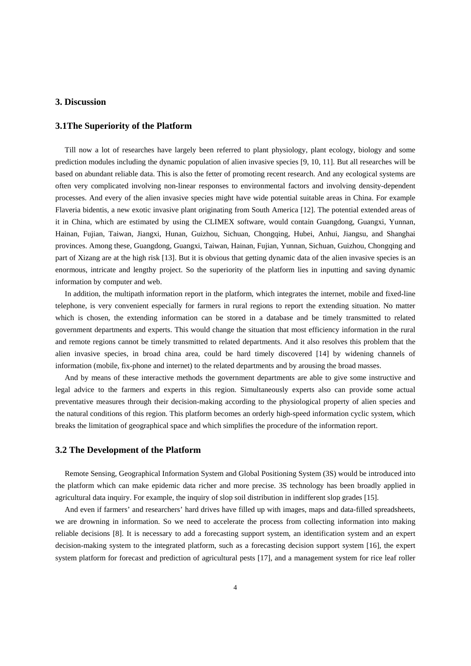#### **3. Discussion**

#### **3.1The Superiority of the Platform**

Till now a lot of researches have largely been referred to plant physiology, plant ecology, biology and some prediction modules including the dynamic population of alien invasive species [9, 10, 11]. But all researches will be based on abundant reliable data. This is also the fetter of promoting recent research. And any ecological systems are often very complicated involving non-linear responses to environmental factors and involving density-dependent processes. And every of the alien invasive species might have wide potential suitable areas in China. For example Flaveria bidentis, a new exotic invasive plant originating from South America [12]. The potential extended areas of it in China, which are estimated by using the CLIMEX software, would contain Guangdong, Guangxi, Yunnan, Hainan, Fujian, Taiwan, Jiangxi, Hunan, Guizhou, Sichuan, Chongqing, Hubei, Anhui, Jiangsu, and Shanghai provinces. Among these, Guangdong, Guangxi, Taiwan, Hainan, Fujian, Yunnan, Sichuan, Guizhou, Chongqing and part of Xizang are at the high risk [13]. But it is obvious that getting dynamic data of the alien invasive species is an enormous, intricate and lengthy project. So the superiority of the platform lies in inputting and saving dynamic information by computer and web.

In addition, the multipath information report in the platform, which integrates the internet, mobile and fixed-line telephone, is very convenient especially for farmers in rural regions to report the extending situation. No matter which is chosen, the extending information can be stored in a database and be timely transmitted to related government departments and experts. This would change the situation that most efficiency information in the rural and remote regions cannot be timely transmitted to related departments. And it also resolves this problem that the alien invasive species, in broad china area, could be hard timely discovered [14] by widening channels of information (mobile, fix-phone and internet) to the related departments and by arousing the broad masses.

And by means of these interactive methods the government departments are able to give some instructive and legal advice to the farmers and experts in this region. Simultaneously experts also can provide some actual preventative measures through their decision-making according to the physiological property of alien species and the natural conditions of this region. This platform becomes an orderly high-speed information cyclic system, which breaks the limitation of geographical space and which simplifies the procedure of the information report.

#### **3.2 The Development of the Platform**

Remote Sensing, Geographical Information System and Global Positioning System (3S) would be introduced into the platform which can make epidemic data richer and more precise. 3S technology has been broadly applied in agricultural data inquiry. For example, the inquiry of slop soil distribution in indifferent slop grades [15].

And even if farmers' and researchers' hard drives have filled up with images, maps and data-filled spreadsheets, we are drowning in information. So we need to accelerate the process from collecting information into making reliable decisions [8]. It is necessary to add a forecasting support system, an identification system and an expert decision-making system to the integrated platform, such as a forecasting decision support system [16], the expert system platform for forecast and prediction of agricultural pests [17], and a management system for rice leaf roller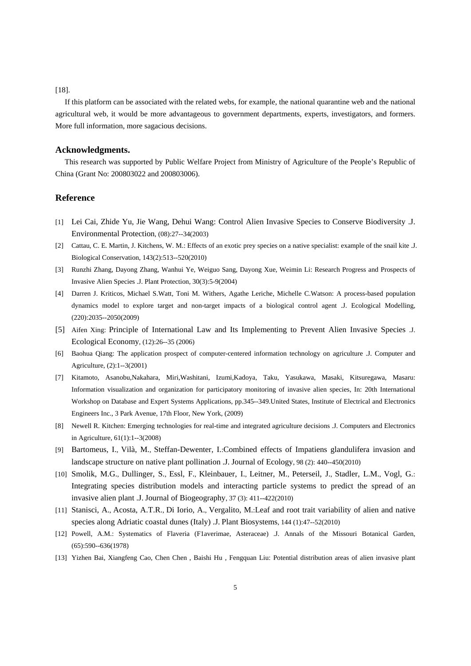#### [18].

If this platform can be associated with the related webs, for example, the national quarantine web and the national agricultural web, it would be more advantageous to government departments, experts, investigators, and formers. More full information, more sagacious decisions.

#### **Acknowledgments.**

This research was supported by Public Welfare Project from Ministry of Agriculture of the People's Republic of China (Grant No: 200803022 and 200803006).

## **Reference**

- [1] Lei Cai, Zhide Yu, Jie Wang, Dehui Wang: Control Alien Invasive Species to Conserve Biodiversity .J. Environmental Protection, (08):27--34(2003)
- [2] Cattau, C. E. Martin, J. Kitchens, W. M.: Effects of an exotic prey species on a native specialist: example of the snail kite .J. Biological Conservation, 143(2):513--520(2010)
- [3] Runzhi Zhang, Dayong Zhang, Wanhui Ye, Weiguo Sang, Dayong Xue, Weimin Li: Research Progress and Prospects of Invasive Alien Species .J. Plant Protection, 30(3):5-9(2004)
- [4] Darren J. Kriticos, Michael S.Watt, Toni M. Withers, Agathe Leriche, Michelle C.Watson: A process-based population dynamics model to explore target and non-target impacts of a biological control agent .J. Ecological Modelling, (220):2035--2050(2009)
- [5] Aifen Xing: Principle of International Law and Its Implementing to Prevent Alien Invasive Species .J. Ecological Economy, (12):26--35 (2006)
- [6] Baohua Qiang: The application prospect of computer-centered information technology on agriculture .J. Computer and Agriculture, (2):1--3(2001)
- [7] Kitamoto, Asanobu,Nakahara, Miri,Washitani, Izumi,Kadoya, Taku, Yasukawa, Masaki, Kitsuregawa, Masaru: Information visualization and organization for participatory monitoring of invasive alien species, In: 20th International Workshop on Database and Expert Systems Applications, pp.345--349.United States, Institute of Electrical and Electronics Engineers Inc., 3 Park Avenue, 17th Floor, New York, (2009)
- [8] Newell R. Kitchen: Emerging technologies for real-time and integrated agriculture decisions .J. Computers and Electronics in Agriculture, 61(1):1--3(2008)
- [9] Bartomeus, I., Vilà, M., Steffan-Dewenter, I.:Combined effects of Impatiens glandulifera invasion and landscape structure on native plant pollination .J. Journal of Ecology, 98 (2): 440--450(2010)
- [10] Smolik, M.G., Dullinger, S., Essl, F., Kleinbauer, I., Leitner, M., Peterseil, J., Stadler, L.M., Vogl, G.: Integrating species distribution models and interacting particle systems to predict the spread of an invasive alien plant .J. Journal of Biogeography, 37 (3): 411--422(2010)
- [11] Stanisci, A., Acosta, A.T.R., Di Iorio, A., Vergalito, M.:Leaf and root trait variability of alien and native species along Adriatic coastal dunes (Italy) .J. Plant Biosystems, 144 (1):47--52(2010)
- [12] Powell, A.M.: Systematics of Flaveria (F1averimae, Asteraceae) .J. Annals of the Missouri Botanical Garden, (65):590--636(1978)
- [13] Yizhen Bai, Xiangfeng Cao, Chen Chen , Baishi Hu , Fengquan Liu: Potential distribution areas of alien invasive plant